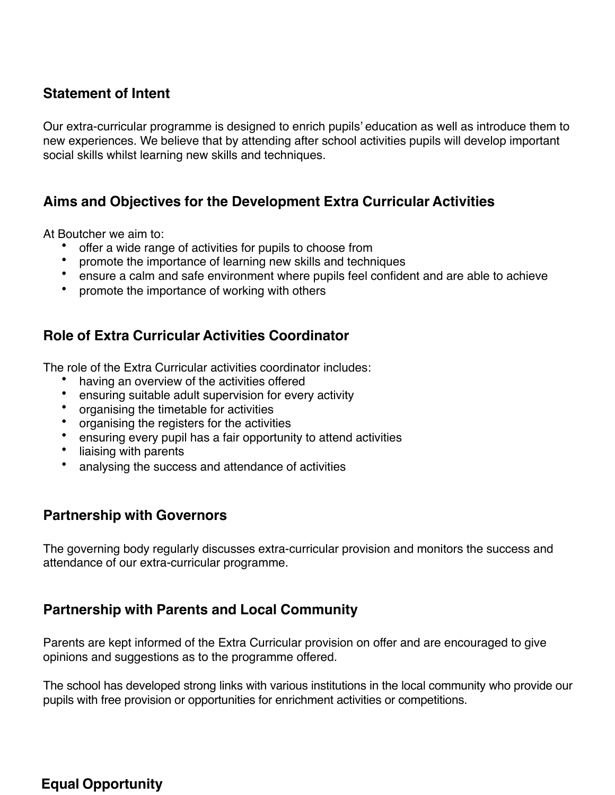# **Statement of Intent**

Our extra-curricular programme is designed to enrich pupils' education as well as introduce them to new experiences. We believe that by attending after school activities pupils will develop important social skills whilst learning new skills and techniques.

## **Aims and Objectives for the Development Extra Curricular Activities**

At Boutcher we aim to:

- offer a wide range of activities for pupils to choose from
- promote the importance of learning new skills and techniques
- ensure a calm and safe environment where pupils feel confident and are able to achieve<br>• promote the importance of working with others
- promote the importance of working with others

## **Role of Extra Curricular Activities Coordinator**

The role of the Extra Curricular activities coordinator includes:

- having an overview of the activities offered<br>• ensuring suitable adult supervision for ever
- ensuring suitable adult supervision for every activity<br>• organising the timetable for activities
- organising the timetable for activities
- organising the registers for the activities
- ensuring every pupil has a fair opportunity to attend activities
- liaising with parents
- analysing the success and attendance of activities

#### **Partnership with Governors**

The governing body regularly discusses extra-curricular provision and monitors the success and attendance of our extra-curricular programme.

#### **Partnership with Parents and Local Community**

Parents are kept informed of the Extra Curricular provision on offer and are encouraged to give opinions and suggestions as to the programme offered.

The school has developed strong links with various institutions in the local community who provide our pupils with free provision or opportunities for enrichment activities or competitions.

# **Equal Opportunity**